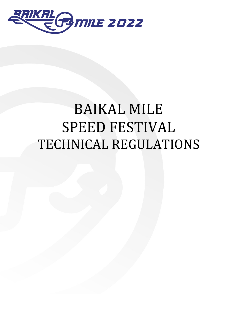

# BAIKAL MILE SPEED FESTIVAL TECHNICAL REGULATIONS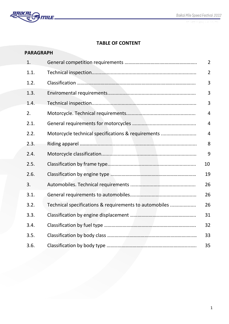

# **TABLE OF CONTENT**

| <b>PARAGRAPH</b> |                                                        |                |
|------------------|--------------------------------------------------------|----------------|
| 1.               |                                                        | $\overline{2}$ |
| 1.1.             |                                                        | $\overline{2}$ |
| 1.2.             |                                                        | 3              |
| 1.3.             |                                                        | 3              |
| 1.4.             |                                                        | 3              |
| 2.               |                                                        | 4              |
| 2.1.             |                                                        | 4              |
| 2.2.             | Motorcycle technical specifications & requirements     | 4              |
| 2.3.             |                                                        | 8              |
| 2.4.             |                                                        | 9              |
| 2.5.             |                                                        | 10             |
| 2.6.             |                                                        | 19             |
| 3.               |                                                        | 26             |
| 3.1.             |                                                        | 26             |
| 3.2.             | Technical specifications & requirements to automobiles | 26             |
| 3.3.             |                                                        | 31             |
| 3.4.             |                                                        | 32             |
| 3.5.             |                                                        | 33             |
| 3.6.             |                                                        | 35             |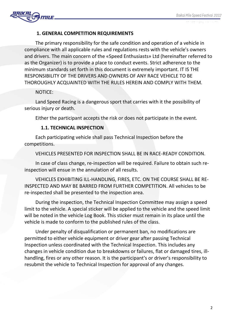

## **1. GENERAL COMPETITION REQUIREMENTS**

The primary responsibility for the safe condition and operation of a vehicle in compliance with all applicable rules and regulations rests with the vehicle's owners and drivers. The main concern of the «Speed Enthusiasts» Ltd (hereinafter referred to as the Organizer) is to provide a place to conduct events. Strict adherence to the minimum standards set forth in this document is extremely important. IT IS THE RESPONSIBILITY OF THE DRIVERS AND OWNERS OF ANY RACE VEHICLE TO BE THOROUGHLY ACQUAINTED WITH THE RULES HEREIN AND COMPLY WITH THEM.

## NOTICE:

Land Speed Racing is a dangerous sport that carries with it the possibility of serious injury or death.

Either the participant accepts the risk or does not participate in the event.

## **1.1. TECHNICAL INSPECTION**

Each participating vehicle shall pass Technical Inspection before the competitions.

VEHICLES PRESENTED FOR INSPECTION SHALL BE IN RACE-READY CONDITION.

In case of class change, re-inspection will be required. Failure to obtain such reinspection will ensue in the annulation of all results.

VEHICLES EXHIBITING ILL-HANDLING, FIRES, ETC. ON THE COURSE SHALL BE RE-INSPECTED AND MAY BE BARRED FROM FURTHER COMPETITION. All vehicles to be re-inspected shall be presented to the inspection area.

During the inspection, the Technical Inspection Committee may assign a speed limit to the vehicle. A special sticker will be applied to the vehicle and the speed limit will be noted in the vehicle Log Book. This sticker must remain in its place until the vehicle is made to conform to the published rules of the class.

Under penalty of disqualification or permanent ban, no modifications are permitted to either vehicle equipment or driver gear after passing Technical Inspection unless coordinated with the Technical Inspection. This includes any changes in vehicle condition due to breakdowns or failures, flat or damaged tires, illhandling, fires or any other reason. It is the participant's or driver's responsibility to resubmit the vehicle to Technical Inspection for approval of any changes.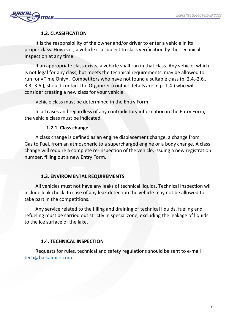

## **1.2. CLASSIFICATION**

It is the responsibility of the owner and/or driver to enter a vehicle in its proper class. However, a vehicle is a subject to class verification by the Technical Inspection at any time.

If an appropriate class exists, a vehicle shall run in that class. Any vehicle, which is not legal for any class, but meets the technical requirements, may be allowed to run for «Time Only». Competitors who have not found a suitable class (p. 2.4.-2.6., 3.3.-3.6.), should contact the Organizer (contact details are in p. 1.4.) who will consider creating a new class for your vehicle.

Vehicle class must be determined in the Entry Form.

In all cases and regardless of any contradictory information in the Entry Form, the vehicle class must be indicated.

## **1.2.1. Class change**

A class change is defined as an engine displacement change, a change from Gas to Fuel, from an atmospheric to a supercharged engine or a body change. A class change will require a complete re-inspection of the vehicle, issuing a new registration number, filling out a new Entry Form.

## **1.3. ENVIROMENTAL REQUIREMENTS**

All vehicles must not have any leaks of technical liquids. Technical Inspection will include leak check. In case of any leak detection the vehicle may not be allowed to take part in the competitions.

Any service related to the filling and draining of technical liquids, fueling and refueling must be carried out strictly in special zone, excluding the leakage of liquids to the ice surface of the lake.

# **1.4. TECHNICAL INSPECTION**

Requests for rules, technical and safety regulations should be sent to e-mail tech@baikalmile.com.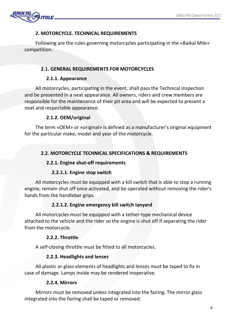

## **2. MOTORCYCLE. TECHNICAL REQUIREMENTS**

Following are the rules governing motorcycles participating in the «Baikal Mile» competition.

## **2.1. GENERAL REQUIREMENTS FOR MOTORCYCLES**

#### **2.1.1. Appearance**

All motorcycles, participating in the event, shall pass the Technical Inspection and be presented in a neat appearance. All owners, riders and crew members are responsible for the maintenance of their pit area and will be expected to present a neat and respectable appearance.

## **2.1.2. OEM/original**

The term «OEM» or «original» is defined as a manufacturer's original equipment for the particular make, model and year of the motorcycle.

# **2.2. MOTORCYCLE TECHNICAL SPECIFICATIONS & REQUIREMENTS**

## **2.2.1. Engine shut-off requirements**

## **2.2.1.1. Engine stop switch**

All motorcycles must be equipped with a kill switch that is able to stop a running engine, remain shut off once activated, and be operated without removing the rider's hands from the handlebar grips.

# **2.2.1.2. Engine emergency kill switch lanyard**

All motorcycles must be equipped with a tether-type mechanical device attached to the vehicle and the rider so the engine is shut off if separating the rider from the motorcycle.

## **2.2.2. Throttle**

A self-closing throttle must be fitted to all motorcycles.

# **2.2.3. Headlights and lenses**

All plastic or glass elements of headlights and lenses must be taped to fix in case of damage. Lamps inside may be rendered inoperative.

## **2.2.4. Mirrors**

Mirrors must be removed unless integrated into the fairing. The mirror glass integrated into the fairing shall be taped or removed.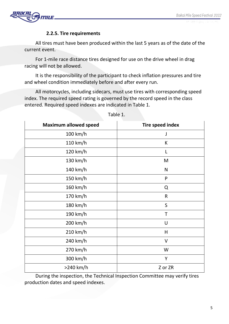

## **2.2.5. Tire requirements**

All tires must have been produced within the last 5 years as of the date of the current event.

For 1-mile race distance tires designed for use on the drive wheel in drag racing will not be allowed.

It is the responsibility of the participant to check inflation pressures and tire and wheel condition immediately before and after every run.

All motorcycles, including sidecars, must use tires with corresponding speed index. The required speed rating is governed by the record speed in the class entered. Required speed indexes are indicated in Table 1.

| <b>Maximum allowed speed</b> | <b>Tire speed index</b> |
|------------------------------|-------------------------|
| $100$ km/h                   | I                       |
| 110 km/h                     | К                       |
| 120 km/h                     | L                       |
| 130 km/h                     | M                       |
| 140 km/h                     | N                       |
| 150 km/h                     | P                       |
| 160 km/h                     | Q                       |
| 170 km/h                     | R                       |
| 180 km/h                     | S                       |
| 190 km/h                     | Τ                       |
| 200 km/h                     | U                       |
| 210 km/h                     | H                       |
| 240 km/h                     | ٧                       |
| 270 km/h                     | W                       |
| 300 km/h                     | Y                       |
| >240 km/h                    | Z or ZR                 |

Table 1.

During the inspection, the Technical Inspection Committee may verify tires production dates and speed indexes.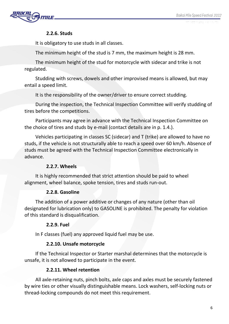

## **2.2.6. Studs**

It is obligatory to use studs in all classes.

The minimum height of the stud is 7 mm, the maximum height is 28 mm.

The minimum height of the stud for motorcycle with sidecar and trike is not regulated.

Studding with screws, dowels and other improvised means is allowed, but may entail a speed limit.

It is the responsibility of the owner/driver to ensure correct studding.

During the inspection, the Technical Inspection Committee will verify studding of tires before the competitions.

Participants may agree in advance with the Technical Inspection Committee on the choice of tires and studs by e-mail (contact details are in p. 1.4.).

Vehicles participating in classes SC (sidecar) and Т (trike) are allowed to have no studs, if the vehicle is not structurally able to reach a speed over 60 km/h. Absence of studs must be agreed with the Technical Inspection Committee electronically in advance.

# **2.2.7. Wheels**

It is highly recommended that strict attention should be paid to wheel alignment, wheel balance, spoke tension, tires and studs run-out.

# **2.2.8. Gasoline**

The addition of a power additive or changes of any nature (other than oil designated for lubrication only) to GASOLINE is prohibited. The penalty for violation of this standard is disqualification.

# **2.2.9. Fuel**

In F classes (fuel) any approved liquid fuel may be use.

# **2.2.10. Unsafe motorcycle**

If the Technical Inspector or Starter marshal determines that the motorcycle is unsafe, it is not allowed to participate in the event.

# **2.2.11. Wheel retention**

All axle-retaining nuts, pinch bolts, axle caps and axles must be securely fastened by wire ties or other visually distinguishable means. Lock washers, self-locking nuts or thread-locking compounds do not meet this requirement.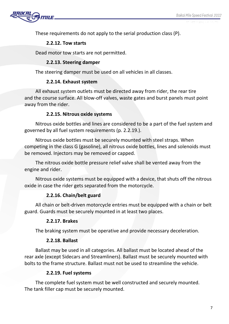27 GENAME - 1 EX

These requirements do not apply to the serial production class (P).

#### **2.2.12. Tow starts**

Dead motor tow starts are not permitted.

#### **2.2.13. Steering damper**

The steering damper must be used on all vehicles in all classes.

#### **2.2.14. Exhaust system**

All exhaust system outlets must be directed away from rider, the rear tire and the course surface. All blow-off valves, waste gates and burst panels must point away from the rider.

#### **2.2.15. Nitrous oxide systems**

Nitrous oxide bottles and lines are considered to be a part of the fuel system and governed by all fuel system requirements (p. 2.2.19.).

Nitrous oxide bottles must be securely mounted with steel straps. When competing in the class G (gasoline), all nitrous oxide bottles, lines and solenoids must be removed. Injectors may be removed or capped.

The nitrous oxide bottle pressure relief valve shall be vented away from the engine and rider.

Nitrous oxide systems must be equipped with a device, that shuts off the nitrous oxide in case the rider gets separated from the motorcycle.

## **2.2.16. Chain/belt guard**

All chain or belt-driven motorcycle entries must be equipped with a chain or belt guard. Guards must be securely mounted in at least two places.

#### **2.2.17. Brakes**

The braking system must be operative and provide necessary deceleration.

#### **2.2.18. Ballast**

Ballast may be used in all categories. All ballast must be located ahead of the rear axle (except Sidecars and Streamliners). Ballast must be securely mounted with bolts to the frame structure. Ballast must not be used to streamline the vehicle.

#### **2.2.19. Fuel systems**

The complete fuel system must be well constructed and securely mounted. The tank filler cap must be securely mounted.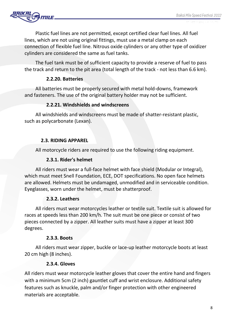

Plastic fuel lines are not permitted, except certified clear fuel lines. All fuel lines, which are not using original fittings, must use a metal clamp on each connection of flexible fuel line. Nitrous oxide cylinders or any other type of oxidizer cylinders are considered the same as fuel tanks.

The fuel tank must be of sufficient capacity to provide a reserve of fuel to pass the track and return to the pit area (total length of the track - not less than 6.6 km).

## **2.2.20. Batteries**

All batteries must be properly secured with metal hold-downs, framework and fasteners. The use of the original battery holder may not be sufficient.

## **2.2.21. Windshields and windscreens**

All windshields and windscreens must be made of shatter-resistant plastic, such as polycarbonate (Lexan).

## **2.3. RIDING APPAREL**

All motorcycle riders are required to use the following riding equipment.

## **2.3.1. Rider's helmet**

All riders must wear a full-face helmet with face shield (Modular or Integral), which must meet Snell Foundation, ECE, DOT specifications. No open face helmets are allowed. Helmets must be undamaged, unmodified and in serviceable condition. Eyeglasses, worn under the helmet, must be shatterproof.

# **2.3.2. Leathers**

All riders must wear motorcycles leather or textile suit. Textile suit is allowed for races at speeds less than 200 km/h. The suit must be one piece or consist of two pieces connected by a zipper. All leather suits must have a zipper at least 300 degrees.

## **2.3.З. Boots**

All riders must wear zipper, buckle or lace-up leather motorcycle boots at least 20 cm high (8 inches).

# **2.3.4. Gloves**

All riders must wear motorcycle leather gloves that cover the entire hand and fingers with a minimum 5cm (2 inch) gauntlet cuff and wrist enclosure. Additional safety features such as knuckle, palm and/or finger protection with other engineered materials are acceptable.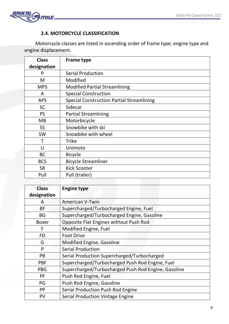

# **2.4. MOTORCYCLE CLASSIFICATION**

Motorcycle classes are listed in ascending order of frame type, engine type and engine displacement.

| <b>Class</b> | <b>Frame type</b>                                |
|--------------|--------------------------------------------------|
| designation  |                                                  |
| P            | <b>Serial Production</b>                         |
| M            | Modified                                         |
| <b>MPS</b>   | <b>Modified Partial Streamlining</b>             |
| A            | <b>Special Construction</b>                      |
| <b>APS</b>   | <b>Special Construction Partial Streamlining</b> |
| <b>SC</b>    | Sidecar                                          |
| <b>PS</b>    | <b>Partial Streamlining</b>                      |
| <b>MB</b>    | Motorbicycle                                     |
| <b>SS</b>    | Snowbike with ski                                |
| <b>SW</b>    | Snowbike with wheel                              |
|              | <b>Trike</b>                                     |
| U            | Unimoto                                          |
| <b>BC</b>    | <b>Bicycle</b>                                   |
| <b>BCS</b>   | <b>Bicycle Streamliner</b>                       |
| <b>SR</b>    | <b>Kick Scooter</b>                              |
| Pull         | Pull (trailer)                                   |

| <b>Class</b> | <b>Engine type</b>                                  |  |
|--------------|-----------------------------------------------------|--|
| designation  |                                                     |  |
| A            | <b>American V-Twin</b>                              |  |
| <b>BF</b>    | Supercharged/Turbocharged Engine, Fuel              |  |
| <b>BG</b>    | Supercharged/Turbocharged Engine, Gasoline          |  |
| <b>Boxer</b> | Opposite Flat Engines without Push Rod              |  |
| F            | Modified Engine, Fuel                               |  |
| <b>FD</b>    | <b>Foot Drive</b>                                   |  |
| G            | Modified Engine, Gasoline                           |  |
| P            | <b>Serial Production</b>                            |  |
| PB           | Serial Production Supercharged/Turbocharged         |  |
| <b>PBF</b>   | Supercharged/Turbocharged Push Rod Engine, Fuel     |  |
| <b>PBG</b>   | Supercharged/Turbocharged Push Rod Engine, Gasoline |  |
| <b>PF</b>    | Push Rod Engine, Fuel                               |  |
| PG           | Push Rod Engine, Gasoline                           |  |
| PP           | Serial Production Push Rod Engine                   |  |
| PV           | <b>Serial Production Vintage Engine</b>             |  |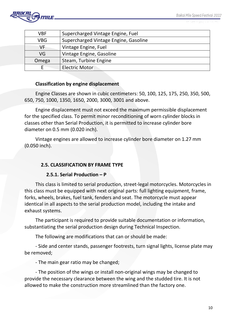27 OEUPARE - 1 EAP

| <b>VBF</b> | Supercharged Vintage Engine, Fuel     |
|------------|---------------------------------------|
| <b>VBG</b> | Supercharged Vintage Engine, Gasoline |
| VF         | Vintage Engine, Fuel                  |
| VG         | Vintage Engine, Gasoline              |
| Omega      | Steam, Turbine Engine                 |
|            | <b>Electric Motor</b>                 |

#### **Classification by engine displacement**

Engine Classes are shown in cubic centimeters: 50, 100, 125, 175, 250, 350, 500, 650, 750, 1000, 1350, 1650, 2000, 3000, 3001 and above.

Engine displacement must not exceed the maximum permissible displacement for the specified class. To permit minor reconditioning of worn cylinder blocks in classes other than Serial Production, it is permitted to increase cylinder bore diameter on 0.5 mm (0.020 inch).

Vintage engines are allowed to increase cylinder bore diameter on 1.27 mm (0.050 inch).

## **2.5. CLASSIFICATION BY FRAME TYPE**

#### **2.5.1. Serial Production – Р**

This class is limited to serial production, street-legal motorcycles. Motorcycles in this class must be equipped with next original parts: full lighting equipment, frame, forks, wheels, brakes, fuel tank, fenders and seat. The motorcycle must appear identical in all aspects to the serial production model, including the intake and exhaust systems.

The participant is required to provide suitable documentation or information, substantiating the serial production design during Technical Inspection.

The following are modifications that can or should be made:

- Side and center stands, passenger footrests, turn signal lights, license plate may be removed;

- The main gear ratio may be changed;

- The position of the wings or install non-original wings may be changed to provide the necessary clearance between the wing and the studded tire. It is not allowed to make the construction more streamlined than the factory one.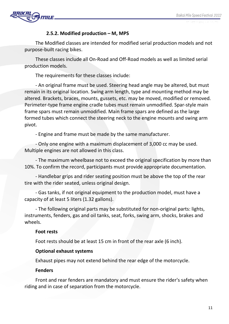

## **2.5.2. Modified production – М, МРS**

The Modified classes are intended for modified serial production models and not purpose-built racing bikes.

These classes include all On-Road and Off-Road models as well as limited serial production models.

The requirements for these classes include:

- An original frame must be used. Steering head angle may be altered, but must remain in its original location. Swing arm length, type and mounting method may be altered. Brackets, braces, mounts, gussets, etc. may be moved, modified or removed. Perimeter-type frame engine cradle tubes must remain unmodified. Spar-style main frame spars must remain unmodified. Main frame spars are defined as the large formed tubes which connect the steering neck to the engine mounts and swing arm pivot.

- Engine and frame must be made by the same manufacturer.

- Only one engine with a maximum displacement of 3,000 cc may be used. Multiple engines are not allowed in this class.

- The maximum wheelbase not to exceed the original specification by more than 10%. To confirm the record, participants must provide appropriate documentation.

- Handlebar grips and rider seating position must be above the top of the rear tire with the rider seated, unless original design.

- Gas tanks, if not original equipment to the production model, must have a capacity of at least 5 liters (1.32 gallons).

- The following original parts may be substituted for non-original parts: lights, instruments, fenders, gas and oil tanks, seat, forks, swing arm, shocks, brakes and wheels.

## **Foot rests**

Foot rests should be at least 15 cm in front of the rear axle (6 inch).

## **Optional exhaust systems**

Exhaust pipes may not extend behind the rear edge of the motorcycle.

## **Fenders**

Front and rear fenders are mandatory and must ensure the rider's safety when riding and in case of separation from the motorcycle.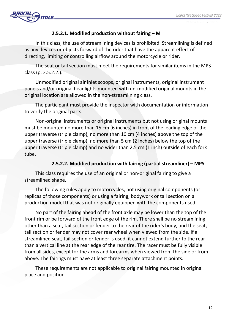

## **2.5.2.1. Modified production without fairing – М**

In this class, the use of streamlining devices is prohibited. Streamlining is defined as any devices or objects forward of the rider that have the apparent effect of directing, limiting or controlling airflow around the motorcycle or rider.

The seat or tail section must meet the requirements for similar items in the MPS class (p. 2.5.2.2.).

Unmodified original air inlet scoops, original instruments, original instrument panels and/or original headlights mounted with un-modified original mounts in the original location are allowed in the non-streamlining class.

The participant must provide the inspector with documentation or information to verify the original parts.

Non-original instruments or original instruments but not using original mounts must be mounted no more than 15 cm (6 inches) in front of the leading edge of the upper traverse (triple clamp), no more than 10 cm (4 inches) above the top of the upper traverse (triple clamp), no more than 5 cm (2 inches) below the top of the upper traverse (triple clamp) and no wider than 2,5 cm (1 inch) outside of each fork tube.

## **2.5.2.2. Modified production with fairing (partial streamliner) – МРS**

This class requires the use of an original or non-original fairing to give a streamlined shape.

The following rules apply to motorcycles, not using original components (or replicas of those components) or using a fairing, bodywork or tail section on a production model that was not originally equipped with the components used.

No part of the fairing ahead of the front axle may be lower than the top of the front rim or be forward of the front edge of the rim. There shall be no streamlining other than a seat, tail section or fender to the rear of the rider's body, and the seat, tail section or fender may not cover rear wheel when viewed from the side. If a streamlined seat, tail section or fender is used, it cannot extend further to the rear than a vertical line at the rear edge of the rear tire. The racer must be fully visible from all sides, except for the arms and forearms when viewed from the side or from above. The fairings must have at least three separate attachment points.

These requirements are not applicable to original fairing mounted in original place and position.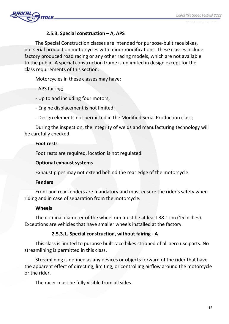

## **2.5.3. Special construction – А, АРS**

The Special Construction classes are intended for purpose-built race bikes, not serial production motorcycles with minor modifications. These classes include factory produced road racing or any other racing models, which are not available to the public. A special construction frame is unlimited in design except for the class requirements of this section.

Motorcycles in these classes may have:

- APS fairing;

- Up to and including four motors;

- Engine displacement is not limited;
- Design elements not permitted in the Modified Serial Production class;

During the inspection, the integrity of welds and manufacturing technology will be carefully checked.

#### **Foot rests**

Foot rests are required, location is not regulated.

#### **Optional exhaust systems**

Exhaust pipes may not extend behind the rear edge of the motorcycle.

#### **Fenders**

Front and rear fenders are mandatory and must ensure the rider's safety when riding and in case of separation from the motorcycle.

## **Wheels**

The nominal diameter of the wheel rim must be at least 38.1 cm (15 inches). Exceptions are vehicles that have smaller wheels installed at the factory.

## **2.5.3.1. Special construction, without fairing - А**

This class is limited to purpose built race bikes stripped of all aero use parts. No streamlining is permitted in this class.

Streamlining is defined as any devices or objects forward of the rider that have the apparent effect of directing, limiting, or controlling airflow around the motorcycle or the rider.

The racer must be fully visible from all sides.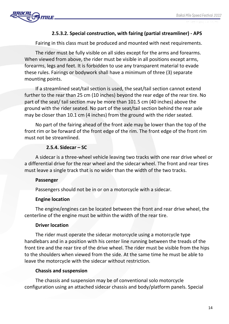

## **2.5.3.2. Special construction, with fairing (partial streamliner) - АРS**

Fairing in this class must be produced and mounted with next requirements.

The rider must be fully visible on all sides except for the arms and forearms. When viewed from above, the rider must be visible in all positions except arms, forearms, legs and feet. It is forbidden to use any transparent material to evade these rules. Fairings or bodywork shall have a minimum of three (3) separate mounting points.

If a streamlined seat/tail section is used, the seat/tail section cannot extend further to the rear than 25 cm (10 inches) beyond the rear edge of the rear tire. No part of the seat/ tail section may be more than 101.5 cm (40 inches) above the ground with the rider seated. No part of the seat/tail section behind the rear axle may be closer than 10.1 cm (4 inches) from the ground with the rider seated.

No part of the fairing ahead of the front axle may be lower than the top of the front rim or be forward of the front edge of the rim. The front edge of the front rim must not be streamlined.

#### **2.5.4. Sidecar – SС**

A sidecar is a three-wheel vehicle leaving two tracks with one rear drive wheel or a differential drive for the rear wheel and the sidecar wheel. The front and rear tires must leave a single track that is no wider than the width of the two tracks.

#### **Passenger**

Passengers should not be in or on a motorcycle with a sidecar.

## **Engine location**

The engine/engines can be located between the front and rear drive wheel, the centerline of the engine must be within the width of the rear tire.

## **Driver location**

The rider must operate the sidecar motorcycle using a motorcycle type handlebars and in a position with his center line running between the treads of the front tire and the rear tire of the drive wheel. The rider must be visible from the hips to the shoulders when viewed from the side. At the same time he must be able to leave the motorcycle with the sidecar without restriction.

#### **Chassis and suspension**

The chassis and suspension may be of conventional solo motorcycle configuration using an attached sidecar chassis and body/platform panels. Special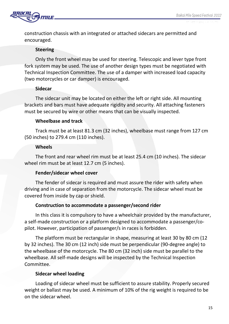

construction chassis with an integrated or attached sidecars are permitted and encouraged.

## **Steering**

Only the front wheel may be used for steering. Telescopic and lever type front fork system may be used. The use of another design types must be negotiated with Technical Inspection Committee. The use of a damper with increased load capacity (two motorcycles or car damper) is encouraged.

## **Sidecar**

The sidecar unit may be located on either the left or right side. All mounting brackets and bars must have adequate rigidity and security. All attaching fasteners must be secured by wire or other means that can be visually inspected.

# **Wheelbase and track**

Track must be at least 81.3 cm (32 inches), wheelbase must range from 127 cm (50 inches) to 279.4 cm (110 inches).

## **Wheels**

The front and rear wheel rim must be at least 25.4 cm (10 inches). The sidecar wheel rim must be at least 12.7 cm (5 inches).

# **Fender/sidecar wheel cover**

The fender of sidecar is required and must assure the rider with safety when driving and in case of separation from the motorcycle. The sidecar wheel must be covered from inside by cap or shield.

# **Construction to accommodate a passenger/second rider**

In this class it is compulsory to have a wheelchair provided by the manufacturer, a self-made construction or a platform designed to accommodate a passenger/copilot. However, participation of passenger/s in races is forbidden.

The platform must be rectangular in shape, measuring at least 30 by 80 cm (12 by 32 inches). The 30 cm (12 inch) side must be perpendicular (90-degree angle) to the wheelbase of the motorcycle. The 80 cm (32 inch) side must be parallel to the wheelbase. All self-made designs will be inspected by the Technical Inspection Committee.

# **Sidecar wheel loading**

Loading of sidecar wheel must be sufficient to assure stability. Properly secured weight or ballast may be used. A minimum of 10% of the rig weight is required to be on the sidecar wheel.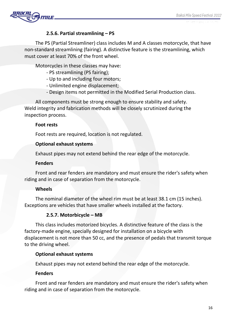

## **2.5.6. Partial streamlining – PS**

The PS (Partial Streamliner) class includes M and A classes motorcycle, that have non-standard streamlining (fairing). A distinctive feature is the streamlining, which must cover at least 70% of the front wheel.

Motorcycles in these classes may have:

- PS streamlining (PS fairing);
- Up to and including four motors;
- Unlimited engine displacement;
- Design items not permitted in the Modified Serial Production class.

All components must be strong enough to ensure stability and safety. Weld integrity and fabrication methods will be closely scrutinized during the inspection process.

#### **Foot rests**

Foot rests are required, location is not regulated.

#### **Optional exhaust systems**

Exhaust pipes may not extend behind the rear edge of the motorcycle.

#### **Fenders**

Front and rear fenders are mandatory and must ensure the rider's safety when riding and in case of separation from the motorcycle.

## **Wheels**

The nominal diameter of the wheel rim must be at least 38.1 cm (15 inches). Exceptions are vehicles that have smaller wheels installed at the factory.

## **2.5.7. Motorbicycle – MB**

This class includes motorized bicycles. A distinctive feature of the class is the factory-made engine, specially designed for installation on a bicycle with displacement is not more than 50 cc, and the presence of pedals that transmit torque to the driving wheel.

## **Optional exhaust systems**

Exhaust pipes may not extend behind the rear edge of the motorcycle.

## **Fenders**

Front and rear fenders are mandatory and must ensure the rider's safety when riding and in case of separation from the motorcycle.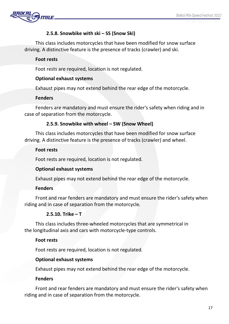

## **2.5.8. Snowbike with ski – SS (Snow Ski)**

This class includes motorcycles that have been modified for snow surface driving. A distinctive feature is the presence of tracks (crawler) and ski.

## **Foot rests**

Foot rests are required, location is not regulated.

## **Optional exhaust systems**

Exhaust pipes may not extend behind the rear edge of the motorcycle.

## **Fenders**

Fenders are mandatory and must ensure the rider's safety when riding and in case of separation from the motorcycle.

## **2.5.9. Snowbike with wheel – SW (Snow Wheel)**

This class includes motorcycles that have been modified for snow surface driving. A distinctive feature is the presence of tracks (crawler) and wheel.

## **Foot rests**

Foot rests are required, location is not regulated.

## **Optional exhaust systems**

Exhaust pipes may not extend behind the rear edge of the motorcycle.

# **Fenders**

Front and rear fenders are mandatory and must ensure the rider's safety when riding and in case of separation from the motorcycle.

# **2.5.10. Trike – T**

This class includes three-wheeled motorcycles that are symmetrical in the longitudinal axis and cars with motorcycle-type controls.

## **Foot rests**

Foot rests are required, location is not regulated.

## **Optional exhaust systems**

Exhaust pipes may not extend behind the rear edge of the motorcycle.

## **Fenders**

Front and rear fenders are mandatory and must ensure the rider's safety when riding and in case of separation from the motorcycle.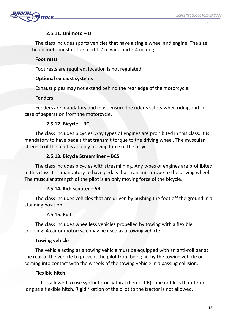

## **2.5.11. Unimoto – U**

The class includes sports vehicles that have a single wheel and engine. The size of the unimoto must not exceed 1.2 m wide and 2.4 m long.

## **Foot rests**

Foot rests are required, location is not regulated.

## **Optional exhaust systems**

Exhaust pipes may not extend behind the rear edge of the motorcycle.

## **Fenders**

Fenders are mandatory and must ensure the rider's safety when riding and in case of separation from the motorcycle.

# **2.5.12. Bicycle – BC**

The class includes bicycles. Any types of engines are prohibited in this class. It is mandatory to have pedals that transmit torque to the driving wheel. The muscular strength of the pilot is an only moving force of the bicycle.

# **2.5.13. Bicycle Streamliner – BCS**

The class includes bicycles with streamlining. Any types of engines are prohibited in this class. It is mandatory to have pedals that transmit torque to the driving wheel. The muscular strength of the pilot is an only moving force of the bicycle.

# **2.5.14. Kick scooter – SR**

The class includes vehicles that are driven by pushing the foot off the ground in a standing position.

# **2.5.15. Pull**

The class includes wheelless vehicles propelled by towing with a flexible coupling. A car or motorcycle may be used as a towing vehicle.

# **Towing vehicle**

The vehicle acting as a towing vehicle must be equipped with an anti-roll bar at the rear of the vehicle to prevent the pilot from being hit by the towing vehicle or coming into contact with the wheels of the towing vehicle in a passing collision.

## **Flexible hitch**

It is allowed to use synthetic or natural (hemp, CB) rope not less than 12 m long as a flexible hitch. Rigid fixation of the pilot to the tractor is not allowed.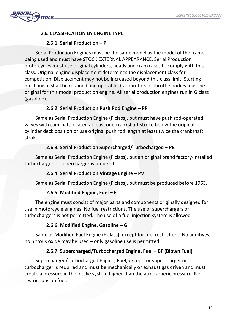

# **2.6. CLASSIFICATION BY ENGINE TYPE**

# **2.6.1. Serial Production – P**

Serial Production Engines must be the same model as the model of the frame being used and must have STOCK EXTERNAL APPEARANCE. Serial Production motorcycles must use original cylinders, heads and crankcases to comply with this class. Original engine displacement determines the displacement class for competition. Displacement may not be increased beyond this class limit. Starting mechanism shall be retained and operable. Carburetors or throttle bodies must be original for this model production engine. All serial production engines run in G class (gasoline).

## **2.6.2. Serial Production Push Rod Engine – PP**

Same as Serial Production Engine (P class), but must have push rod-operated valves with camshaft located at least one crankshaft stroke below the original cylinder deck position or use original push rod length at least twice the crankshaft stroke.

## **2.6.З. Serial Production Supercharged/Turbocharged – PB**

Same as Serial Production Engine (P class), but an original brand factory-installed turbocharger or supercharger is required.

## **2.6.4. Serial Production Vintage Engine – PV**

Same as Serial Production Engine (P class), but must be produced before 1963.

# **2.6.5. Modified Engine, Fuel – F**

The engine must consist of major parts and components originally designed for use in motorcycle engines. No fuel restrictions. The use of superchargers or turbochargers is not permitted. The use of a fuel injection system is allowed.

# **2.6.6. Modified Engine, Gasoline – G**

Same as Modified Fuel Engine (F class), except for fuel restrictions. No additives, no nitrous oxide may be used – only gasoline use is permitted.

# **2.6.7. Supercharged/Turbocharged Engine, Fuel – ВF (Blown Fuel)**

Supercharged/Turbocharged Engine, Fuel, except for supercharger or turbocharger is required and must be mechanically or exhaust gas driven and must create a pressure in the intake system higher than the atmospheric pressure. No restrictions on fuel.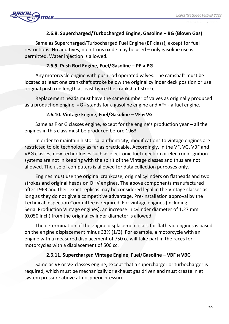## **2.6.8. Supercharged/Turbocharged Engine, Gasoline – ВG (Blown Gas)**

Same as Supercharged/Turbocharged Fuel Engine (BF class), except for fuel restrictions. No additives, no nitrous oxide may be used – only gasoline use is permitted. Water injection is allowed.

#### **2.6.9. Push Rod Engine, Fuel/Gasoline – РF и РG**

Any motorcycle engine with push rod operated valves. The camshaft must be located at least one crankshaft stroke below the original cylinder deck position or use original push rod length at least twice the crankshaft stroke.

Replacement heads must have the same number of valves as originally produced as a production engine. «G» stands for a gasoline engine and «F» - a fuel engine.

#### **2.6.10. Vintage Engine, Fuel/Gasoline – VF и VG**

Same as F or G classes engine, except for the engine's production year – all the engines in this class must be produced before 1963.

In order to maintain historical authenticity, modifications to vintage engines are restricted to old technology as far as practicable. Accordingly, in the VF, VG, VBF and VBG classes, new technologies such as electronic fuel injection or electronic ignition systems are not in keeping with the spirit of the Vintage classes and thus are not allowed. The use of computers is allowed for data collection purposes only.

Engines must use the original crankcase, original cylinders on flatheads and two strokes and original heads on OHV engines. The above components manufactured after 1963 and their exact replicas may be considered legal in the Vintage classes as long as they do not give a competitive advantage. Pre-installation approval by the Technical Inspection Committee is required. For vintage engines (including Serial Production Vintage engines), an increase in cylinder diameter of 1.27 mm (0.050 inch) from the original cylinder diameter is allowed.

The determination of the engine displacement class for flathead engines is based on the engine displacement minus 33% (1/3). For example, a motorcycle with an engine with a measured displacement of 750 cc will take part in the races for motorcycles with a displacement of 500 cc.

## **2.6.11. Supercharged Vintage Engine, Fuel/Gasoline – VBF и VBG**

Same as VF or VG classes engine, except that a supercharger or turbocharger is required, which must be mechanically or exhaust gas driven and must create inlet system pressure above atmospheric pressure.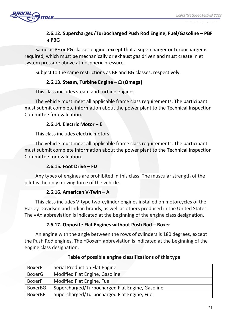

# **2.6.12. Supercharged/Turbocharged Push Rod Engine, Fuel/Gasoline – РВF и РВG**

Same as PF or PG classes engine, except that a supercharger or turbocharger is required, which must be mechanically or exhaust gas driven and must create inlet system pressure above atmospheric pressure.

Subject to the same restrictions as BF and BG classes, respectively.

## **2.6.13. Steam, Turbine Engine – Ω (Omega)**

This class includes steam and turbine engines.

The vehicle must meet all applicable frame class requirements. The participant must submit complete information about the power plant to the Technical Inspection Committee for evaluation.

## **2.6.14. Electric Motor – E**

This class includes electric motors.

The vehicle must meet all applicable frame class requirements. The participant must submit complete information about the power plant to the Technical Inspection Committee for evaluation.

## **2.6.15. Foot Drive – FD**

Any types of engines are prohibited in this class. The muscular strength of the pilot is the only moving force of the vehicle.

## **2.6.16. American V-Twin – A**

This class includes V-type two-cylinder engines installed on motorcycles of the Harley-Davidson and Indian brands, as well as others produced in the United States. The «A» abbreviation is indicated at the beginning of the engine class designation.

## **2.6.17. Opposite Flat Engines without Push Rod – Boxer**

An engine with the angle between the rows of cylinders is 180 degrees, except the Push Rod engines. The «Boxer» abbreviation is indicated at the beginning of the engine class designation.

| <b>BoxerP</b>  | Serial Production Flat Engine                   |
|----------------|-------------------------------------------------|
| <b>BoxerG</b>  | Modified Flat Engine, Gasoline                  |
| <b>BoxerF</b>  | Modified Flat Engine, Fuel                      |
| <b>BoxerBG</b> | Supercharged/Turbocharged Flat Engine, Gasoline |
| <b>BoxerBF</b> | Supercharged/Turbocharged Flat Engine, Fuel     |

## **Table of possible engine classifications of this type**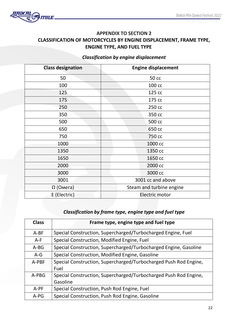

# **APPENDIX TO SECTION 2 CLASSIFICATION OF MOTORCYCLES BY ENGINE DISPLACEMENT, FRAME TYPE, ENGINE TYPE, AND FUEL TYPE**

# *Classification by engine displacement*

| <b>Class designation</b> | <b>Engine displacement</b> |
|--------------------------|----------------------------|
| 50                       | 50 cc                      |
| 100                      | 100 cc                     |
| 125                      | 125 cc                     |
| 175                      | 175 cc                     |
| 250                      | 250 cc                     |
| 350                      | 350 cc                     |
| 500                      | 500 cc                     |
| 650                      | 650 cc                     |
| 750                      | 750 cc                     |
| 1000                     | 1000 cc                    |
| 1350                     | 1350 cc                    |
| 1650                     | 1650 cc                    |
| 2000                     | 2000 cc                    |
| 3000                     | 3000 cc                    |
| 3001                     | 3001 cc and above          |
| $\Omega$ (Omera)         | Steam and turbine engine   |
| E (Electric)             | Electric motor             |

# *Classification by frame type, engine type and fuel type*

| <b>Class</b> | Frame type, engine type and fuel type                            |
|--------------|------------------------------------------------------------------|
| $A-BF$       | Special Construction, Supercharged/Turbocharged Engine, Fuel     |
| $A-F$        | Special Construction, Modified Engine, Fuel                      |
| $A-BG$       | Special Construction, Supercharged/Turbocharged Engine, Gasoline |
| $A-G$        | Special Construction, Modified Engine, Gasoline                  |
| A-PBF        | Special Construction, Supercharged/Turbocharged Push Rod Engine, |
|              | Fuel                                                             |
| A-PBG        | Special Construction, Supercharged/Turbocharged Push Rod Engine, |
|              | Gasoline                                                         |
| A-PF         | Special Construction, Push Rod Engine, Fuel                      |
| $A-PG$       | Special Construction, Push Rod Engine, Gasoline                  |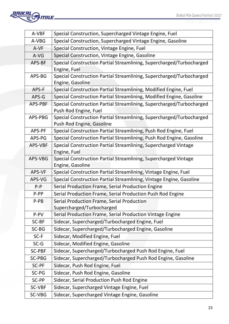

| A-VBF         | Special Construction, Supercharged Vintage Engine, Fuel                                                                  |  |
|---------------|--------------------------------------------------------------------------------------------------------------------------|--|
| A-VBG         | Special Construction, Supercharged Vintage Engine, Gasoline                                                              |  |
| A-VF          | Special Construction, Vintage Engine, Fuel                                                                               |  |
| A-VG          | Special Construction, Vintage Engine, Gasoline                                                                           |  |
| APS-BF        | Special Construction Partial Streamlining, Supercharged/Turbocharged                                                     |  |
|               | Engine, Fuel                                                                                                             |  |
| APS-BG        | Special Construction Partial Streamlining, Supercharged/Turbocharged                                                     |  |
|               | Engine, Gasoline                                                                                                         |  |
| APS-F         | Special Construction Partial Streamlining, Modified Engine, Fuel                                                         |  |
| APS-G         | Special Construction Partial Streamlining, Modified Engine, Gasoline                                                     |  |
| APS-PBF       | Special Construction Partial Streamlining, Supercharged/Turbocharged                                                     |  |
|               | Push Rod Engine, Fuel                                                                                                    |  |
| APS-PBG       | Special Construction Partial Streamlining, Supercharged/Turbocharged                                                     |  |
|               | Push Rod Engine, Gasoline                                                                                                |  |
| APS-PF        | Special Construction Partial Streamlining, Push Rod Engine, Fuel                                                         |  |
| APS-PG        | Special Construction Partial Streamlining, Push Rod Engine, Gasoline                                                     |  |
| APS-VBF       | Special Construction Partial Streamlining, Supercharged Vintage                                                          |  |
|               | Engine, Fuel                                                                                                             |  |
| APS-VBG       | Special Construction Partial Streamlining, Supercharged Vintage<br>Engine, Gasoline                                      |  |
| APS-VF        | Special Construction Partial Streamlining, Vintage Engine, Fuel                                                          |  |
| APS-VG        |                                                                                                                          |  |
| $P-P$         | Special Construction Partial Streamlining, Vintage Engine, Gasoline                                                      |  |
| P-PP          | Serial Production Frame, Serial Production Engine                                                                        |  |
| P-PB          | Serial Production Frame, Serial Production Push Rod Engine                                                               |  |
|               | Serial Production Frame, Serial Production<br>Supercharged/Turbocharged                                                  |  |
| P-PV          | Serial Production Frame, Serial Production Vintage Engine                                                                |  |
| SC-BF         | Sidecar, Supercharged/Turbocharged Engine, Fuel                                                                          |  |
| SC-BG         | Sidecar, Supercharged/Turbocharged Engine, Gasoline                                                                      |  |
| SC-F          |                                                                                                                          |  |
| $SC-G$        | Sidecar, Modified Engine, Fuel                                                                                           |  |
| <b>SC-PBF</b> | Sidecar, Modified Engine, Gasoline                                                                                       |  |
| <b>SC-PBG</b> | Sidecar, Supercharged/Turbocharged Push Rod Engine, Fuel<br>Sidecar, Supercharged/Turbocharged Push Rod Engine, Gasoline |  |
| SC-PF         | Sidecar, Push Rod Engine, Fuel                                                                                           |  |
| SC-PG         |                                                                                                                          |  |
| SC-PP         | Sidecar, Push Rod Engine, Gasoline                                                                                       |  |
|               | Sidecar, Serial Production Push Rod Engine                                                                               |  |
| SC-VBF        | Sidecar, Supercharged Vintage Engine, Fuel                                                                               |  |
| SC-VBG        | Sidecar, Supercharged Vintage Engine, Gasoline                                                                           |  |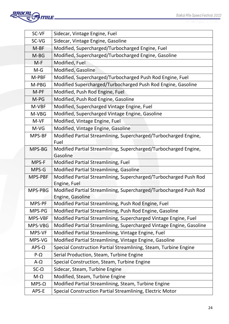

| SC-VF        | Sidecar, Vintage Engine, Fuel                                                     |  |
|--------------|-----------------------------------------------------------------------------------|--|
| SC-VG        | Sidecar, Vintage Engine, Gasoline                                                 |  |
| $M-BF$       | Modified, Supercharged/Turbocharged Engine, Fuel                                  |  |
| M-BG         | Modified, Supercharged/Turbocharged Engine, Gasoline                              |  |
| $M-F$        | Modified, Fuel                                                                    |  |
| $M-G$        | <b>Modified, Gasoline</b>                                                         |  |
| M-PBF        | Modified, Supercharged/Turbocharged Push Rod Engine, Fuel                         |  |
| M-PBG        | Modified Supercharged/Turbocharged Push Rod Engine, Gasoline                      |  |
| M-PF         | Modified, Push Rod Engine, Fuel                                                   |  |
| M-PG         | Modified, Push Rod Engine, Gasoline                                               |  |
| M-VBF        | Modified, Supercharged Vintage Engine, Fuel                                       |  |
| M-VBG        | Modified, Supercharged Vintage Engine, Gasoline                                   |  |
| M-VF         | Modified, Vintage Engine, Fuel                                                    |  |
| M-VG         | Modified, Vintage Engine, Gasoline                                                |  |
| MPS-BF       | Modified Partial Streamlining, Supercharged/Turbocharged Engine,                  |  |
|              | Fuel                                                                              |  |
| MPS-BG       | Modified Partial Streamlining, Supercharged/Turbocharged Engine,                  |  |
|              | Gasoline                                                                          |  |
| MPS-F        | <b>Modified Partial Streamlining, Fuel</b>                                        |  |
| MPS-G        | Modified Partial Streamlining, Gasoline                                           |  |
| MPS-PBF      | Modified Partial Streamlining, Supercharged/Turbocharged Push Rod<br>Engine, Fuel |  |
| MPS-PBG      | Modified Partial Streamlining, Supercharged/Turbocharged Push Rod                 |  |
|              | Engine, Gasoline                                                                  |  |
| MPS-PF       | Modified Partial Streamlining, Push Rod Engine, Fuel                              |  |
| MPS-PG       | Modified Partial Streamlining, Push Rod Engine, Gasoline                          |  |
| MPS-VBF      | Modified Partial Streamlining, Supercharged Vintage Engine, Fuel                  |  |
| MPS-VBG      | Modified Partial Streamlining, Supercharged Vintage Engine, Gasoline              |  |
| MPS-VF       | Modified Partial Streamlining, Vintage Engine, Fuel                               |  |
| MPS-VG       | Modified Partial Streamlining, Vintage Engine, Gasoline                           |  |
| $APS-\Omega$ | Special Construction Partial Streamlining, Steam, Turbine Engine                  |  |
| $P-\Omega$   | Serial Production, Steam, Turbine Engine                                          |  |
| $A-\Omega$   | Special Construction, Steam, Turbine Engine                                       |  |
| $SC-\Omega$  | Sidecar, Steam, Turbine Engine                                                    |  |
| $M-\Omega$   | Modified, Steam, Turbine Engine                                                   |  |
| $MPS-\Omega$ | Modified Partial Streamlining, Steam, Turbine Engine                              |  |
| APS-E        | Special Construction Partial Streamlining, Electric Motor                         |  |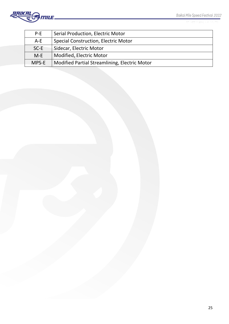

27 GEORARD - 1 MARTA

| $P-E$  | <b>Serial Production, Electric Motor</b>      |
|--------|-----------------------------------------------|
| $A-E$  | <b>Special Construction, Electric Motor</b>   |
| $SC-E$ | Sidecar, Electric Motor                       |
| $M-E$  | Modified, Electric Motor                      |
| MPS-E  | Modified Partial Streamlining, Electric Motor |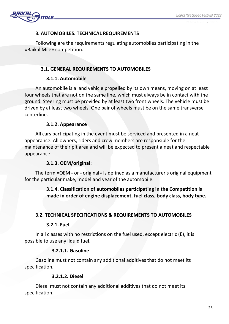

# **3. AUTOMOBILES. TECHNICAL REQUIREMENTS**

Following are the requirements regulating automobiles participating in the «Baikal Mile» competition.

# **3.1. GENERAL REQUIREMENTS TO AUTOMOBILES**

# **3.1.1. Automobile**

An automobile is a land vehicle propelled by its own means, moving on at least four wheels that are not on the same line, which must always be in contact with the ground. Steering must be provided by at least two front wheels. The vehicle must be driven by at least two wheels. One pair of wheels must be on the same transverse centerline.

# **3.1.2. Appearance**

All cars participating in the event must be serviced and presented in a neat appearance. All owners, riders and crew members are responsible for the maintenance of their pit area and will be expected to present a neat and respectable appearance.

# **3.1.3. OEM/original:**

The term «OEM» or «original» is defined as a manufacturer's original equipment for the particular make, model and year of the automobile.

# **3.1.4. Classification of automobiles participating in the Competition is made in order of engine displacement, fuel class, body class, body type.**

# **3.2. TECHNICAL SPECIFICATIONS & REQUIREMENTS TO AUTOMOBILES**

# **3.2.1. Fuel**

In all classes with no restrictions on the fuel used, except electric (E), it is possible to use any liquid fuel.

# **3.2.1.1. Gasoline**

Gasoline must not contain any additional additives that do not meet its specification.

# **3.2.1.2. Diesel**

Diesel must not contain any additional additives that do not meet its specification.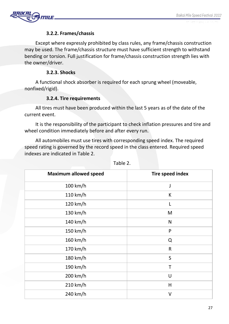

## **3.2.2. Frames/chassis**

Except where expressly prohibited by class rules, any frame/chassis construction may be used. The frame/chassis structure must have sufficient strength to withstand bending or torsion. Full justification for frame/chassis construction strength lies with the owner/driver.

## **3.2.3. Shocks**

A functional shock absorber is required for each sprung wheel (moveable, nonfixed/rigid).

## **3.2.4. Tire requirements**

All tires must have been produced within the last 5 years as of the date of the current event.

It is the responsibility of the participant to check inflation pressures and tire and wheel condition immediately before and after every run.

All automobiles must use tires with corresponding speed index. The required speed rating is governed by the record speed in the class entered. Required speed indexes are indicated in Table 2.

| <b>Maximum allowed speed</b> | <b>Tire speed index</b> |  |
|------------------------------|-------------------------|--|
| 100 km/h                     | J                       |  |
| 110 km/h                     | К                       |  |
| 120 km/h                     | L                       |  |
| 130 km/h                     | M                       |  |
| 140 km/h                     | N                       |  |
| 150 km/h                     | P                       |  |
| 160 km/h                     | Q                       |  |
| 170 km/h                     | $\mathsf R$             |  |
| 180 km/h                     | $\sf S$                 |  |
| 190 km/h                     | T                       |  |
| 200 km/h                     | U                       |  |
| 210 km/h                     | H                       |  |
| 240 km/h                     | $\vee$                  |  |
|                              |                         |  |

Table 2.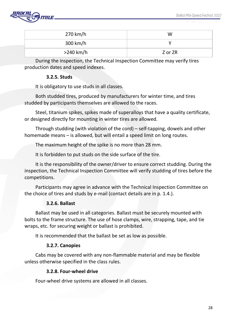

| 270 km/h  | W       |
|-----------|---------|
| 300 km/h  |         |
| >240 km/h | Z or ZR |

During the inspection, the Technical Inspection Committee may verify tires production dates and speed indexes.

#### **3.2.5. Studs**

It is obligatory to use studs in all classes.

Both studded tires, produced by manufacturers for winter time, and tires studded by participants themselves are allowed to the races.

Steel, titanium spikes, spikes made of superalloys that have a quality certificate, or designed directly for mounting in winter tires are allowed.

Through studding (with violation of the cord) – self-tapping, dowels and other homemade means – is allowed, but will entail a speed limit on long routes.

The maximum height of the spike is no more than 28 mm.

It is forbidden to put studs on the side surface of the tire.

It is the responsibility of the owner/driver to ensure correct studding. During the inspection, the Technical Inspection Committee will verify studding of tires before the competitions.

Participants may agree in advance with the Technical Inspection Committee on the choice of tires and studs by e-mail (contact details are in p. 1.4.).

#### **3.2.6. Ballast**

Ballast may be used in all categories. Ballast must be securely mounted with bolts to the frame structure. The use of hose clamps, wire, strapping, tape, and tie wraps, etc. for securing weight or ballast is prohibited.

It is recommended that the ballast be set as low as possible.

#### **3.2.7. Canopies**

Cabs may be covered with any non-flammable material and may be flexible unless otherwise specified in the class rules.

#### **3.2.8. Four-wheel drive**

Four-wheel drive systems are allowed in all classes.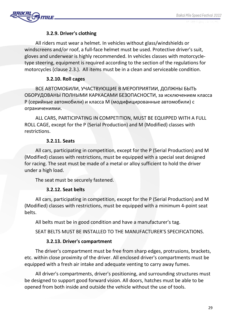

## **3.2.9. Driver's clothing**

All riders must wear a helmet. In vehicles without glass/windshields or windscreens and/or roof, a full-face helmet must be used. Protective driver's suit, gloves and underwear is highly recommended. In vehicles classes with motorcycletype steering, equipment is required according to the section of the regulations for motorcycles (clause 2.3.). All items must be in a clean and serviceable condition.

## **3.2.10. Roll cages**

ВСЕ АВТОМОБИЛИ, УЧАСТВУЮЩИЕ В МЕРОПРИЯТИИ, ДОЛЖНЫ БЫТЬ ОБОРУДОВАНЫ ПОЛНЫМИ КАРКАСАМИ БЕЗОПАСНОСТИ, за исключением класса Р (серийные автомобили) и класса M (модифицированные автомобили) с ограничениями.

ALL CARS, PARTICIPATING IN COMPETITION, MUST BE EQUIPPED WITH A FULL ROLL CAGE, except for the P (Serial Production) and M (Modified) classes with restrictions.

## **3.2.11. Seats**

All cars, participating in competition, except for the P (Serial Production) and M (Modified) classes with restrictions, must be equipped with a special seat designed for racing. The seat must be made of a metal or alloy sufficient to hold the driver under a high load.

The seat must be securely fastened.

# **3.2.12. Seat belts**

All cars, participating in competition, except for the P (Serial Production) and M (Modified) classes with restrictions, must be equipped with a minimum 4-point seat belts.

All belts must be in good condition and have a manufacturer's tag.

SEAT BELTS MUST BE INSTALLED TO THE MANUFACTURER'S SPECIFICATIONS.

# **3.2.13. Driver's compartment**

The driver's compartment must be free from sharp edges, protrusions, brackets, etc. within close proximity of the driver. All enclosed driver's compartments must be equipped with a fresh air intake and adequate venting to carry away fumes.

All driver's compartments, driver's positioning, and surrounding structures must be designed to support good forward vision. All doors, hatches must be able to be opened from both inside and outside the vehicle without the use of tools.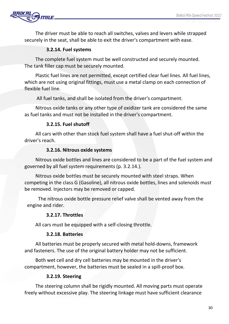

The driver must be able to reach all switches, valves and levers while strapped securely in the seat, shall be able to exit the driver's compartment with ease.

## **3.2.14. Fuel systems**

The complete fuel system must be well constructed and securely mounted. The tank filler cap must be securely mounted.

Plastic fuel lines are not permitted, except certified clear fuel lines. All fuel lines, which are not using original fittings, must use a metal clamp on each connection of flexible fuel line.

All fuel tanks, and shall be isolated from the driver's compartment.

Nitrous oxide tanks or any other type of oxidizer tank are considered the same as fuel tanks and must not be installed in the driver's compartment.

## **3.2.15. Fuel shutoff**

All cars with other than stock fuel system shall have a fuel shut-off within the driver's reach.

#### **3.2.16. Nitrous oxide systems**

Nitrous oxide bottles and lines are considered to be a part of the fuel system and governed by all fuel system requirements (p. 3.2.14.).

Nitrous oxide bottles must be securely mounted with steel straps. When competing in the class G (Gasoline), all nitrous oxide bottles, lines and solenoids must be removed. Injectors may be removed or capped.

The nitrous oxide bottle pressure relief valve shall be vented away from the engine and rider.

## **3.2.17. Throttles**

All cars must be equipped with a self-closing throttle.

## **3.2.18. Batteries**

All batteries must be properly secured with metal hold-downs, framework and fasteners. The use of the original battery holder may not be sufficient.

Both wet cell and dry cell batteries may be mounted in the driver's compartment, however, the batteries must be sealed in a spill-proof box.

## **3.2.19. Steering**

The steering column shall be rigidly mounted. All moving parts must operate freely without excessive play. The steering linkage must have sufficient clearance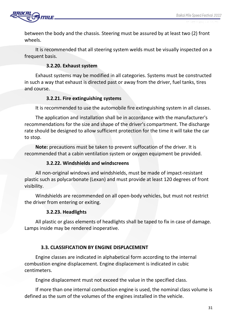

between the body and the chassis. Steering must be assured by at least two (2) front wheels.

It is recommended that all steering system welds must be visually inspected on a frequent basis.

## **3.2.20. Exhaust system**

Exhaust systems may be modified in all categories. Systems must be constructed in such a way that exhaust is directed past or away from the driver, fuel tanks, tires and course.

## **3.2.21. Fire extinguishing systems**

It is recommended to use the automobile fire extinguishing system in all classes.

The application and installation shall be in accordance with the manufacturer's recommendations for the size and shape of the driver's compartment. The discharge rate should be designed to allow sufficient protection for the time it will take the car to stop.

**Note:** precautions must be taken to prevent suffocation of the driver. It is recommended that a cabin ventilation system or oxygen equipment be provided.

#### **3.2.22. Windshields and windscreens**

All non-original windows and windshields, must be made of impact-resistant plastic such as polycarbonate (Lexan) and must provide at least 120 degrees of front visibility.

Windshields are recommended on all open-body vehicles, but must not restrict the driver from entering or exiting.

## **3.2.23. Headlights**

All plastic or glass elements of headlights shall be taped to fix in case of damage. Lamps inside may be rendered inoperative.

## **3.3. CLASSIFICATION BY ENGINE DISPLACEMENT**

Engine classes are indicated in alphabetical form according to the internal combustion engine displacement. Engine displacement is indicated in cubic centimeters.

Engine displacement must not exceed the value in the specified class.

If more than one internal combustion engine is used, the nominal class volume is defined as the sum of the volumes of the engines installed in the vehicle.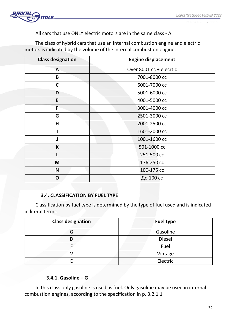

All cars that use ONLY electric motors are in the same class - A.

The class of hybrid cars that use an internal combustion engine and electric motors is indicated by the volume of the internal combustion engine.

| <b>Class designation</b> | <b>Engine displacement</b> |
|--------------------------|----------------------------|
| $\mathsf{A}$             | Over 8001 cc + elecrtic    |
| B                        | 7001-8000 cc               |
| $\mathsf{C}$             | 6001-7000 cc               |
| D                        | 5001-6000 cc               |
| E                        | 4001-5000 cc               |
| F                        | 3001-4000 cc               |
| G                        | 2501-3000 cc               |
| H                        | 2001-2500 cc               |
|                          | 1601-2000 cc               |
|                          | 1001-1600 cc               |
| K                        | 501-1000 cc                |
|                          | 251-500 cc                 |
| M                        | 176-250 cc                 |
| N                        | 100-175 cc                 |
| O                        | До 100 сс                  |

# **3.4. CLASSIFICATION BY FUEL TYPE**

Classification by fuel type is determined by the type of fuel used and is indicated in literal terms.

| <b>Class designation</b> | <b>Fuel type</b> |
|--------------------------|------------------|
| G                        | Gasoline         |
|                          | <b>Diesel</b>    |
|                          | Fuel             |
|                          | Vintage          |
|                          | Electric         |

# **3.4.1. Gasoline – G**

In this class only gasoline is used as fuel. Only gasoline may be used in internal combustion engines, according to the specification in p. 3.2.1.1.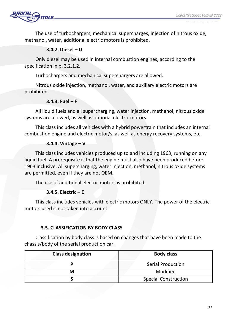The use of turbochargers, mechanical supercharges, injection of nitrous oxide, methanol, water, additional electric motors is prohibited.

# **3.4.2. Diesel – D**

Only diesel may be used in internal combustion engines, according to the specification in p. 3.2.1.2.

Turbochargers and mechanical superchargers are allowed.

Nitrous oxide injection, methanol, water, and auxiliary electric motors are prohibited.

## **3.4.3. Fuel – F**

All liquid fuels and all supercharging, water injection, methanol, nitrous oxide systems are allowed, as well as optional electric motors.

This class includes all vehicles with a hybrid powertrain that includes an internal combustion engine and electric motor/s, as well as energy recovery systems, etc.

# **3.4.4. Vintage – V**

This class includes vehicles produced up to and including 1963, running on any liquid fuel. A prerequisite is that the engine must also have been produced before 1963 inclusive. All supercharging, water injection, methanol, nitrous oxide systems are permitted, even if they are not OEM.

The use of additional electric motors is prohibited.

# **3.4.5. Electric – E**

This class includes vehicles with electric motors ONLY. The power of the electric motors used is not taken into account

# **3.5. CLASSIFICATION BY BODY CLASS**

Classification by body class is based on changes that have been made to the chassis/body of the serial production car.

| <b>Class designation</b> | <b>Body class</b>           |
|--------------------------|-----------------------------|
|                          | <b>Serial Production</b>    |
| М                        | Modified                    |
|                          | <b>Special Construction</b> |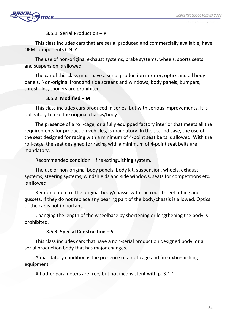

## **3.5.1. Serial Production – P**

This class includes cars that are serial produced and commercially available, have OEM components ONLY.

The use of non-original exhaust systems, brake systems, wheels, sports seats and suspension is allowed.

The car of this class must have a serial production interior, optics and all body panels. Non-original front and side screens and windows, body panels, bumpers, thresholds, spoilers are prohibited.

## **3.5.2. Modified – M**

This class includes cars produced in series, but with serious improvements. It is obligatory to use the original chassis/body.

The presence of a roll-cage, or a fully equipped factory interior that meets all the requirements for production vehicles, is mandatory. In the second case, the use of the seat designed for racing with a minimum of 4-point seat belts is allowed. With the roll-cage, the seat designed for racing with a minimum of 4-point seat belts are mandatory.

Recommended condition – fire extinguishing system.

The use of non-original body panels, body kit, suspension, wheels, exhaust systems, steering systems, windshields and side windows, seats for competitions etc. is allowed.

Reinforcement of the original body/chassis with the round steel tubing and gussets, if they do not replace any bearing part of the body/chassis is allowed. Optics of the car is not important.

Changing the length of the wheelbase by shortening or lengthening the body is prohibited.

# **3.5.3. Special Construction – S**

This class includes cars that have a non-serial production designed body, or a serial production body that has major changes.

A mandatory condition is the presence of a roll-cage and fire extinguishing equipment.

All other parameters are free, but not inconsistent with p. 3.1.1.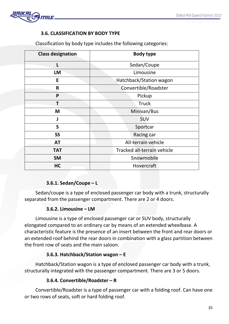

# **3.6. CLASSIFICATION BY BODY TYPE**

| <b>Class designation</b> | <b>Body type</b>            |
|--------------------------|-----------------------------|
|                          | Sedan/Coupe                 |
| <b>LM</b>                | Limousine                   |
| E                        | Hatchback/Station wagon     |
| R                        | Convertible/Roadster        |
| P                        | Pickup                      |
|                          | <b>Truck</b>                |
| M                        | Minivan/Bus                 |
|                          | <b>SUV</b>                  |
| $\mathsf{S}$             | Sportcar                    |
| <b>SS</b>                | Racing car                  |
| <b>AT</b>                | All-terrain vehicle         |
| <b>TAT</b>               | Tracked all-terrain vehicle |
| <b>SM</b>                | Snowmobile                  |
| HC                       | Hovercraft                  |

Classification by body type includes the following categories:

# **3.6.1. Sedan/Coupe – L**

Sedan/coupe is a type of enclosed passenger car body with a trunk, structurally separated from the passenger compartment. There are 2 or 4 doors.

# **3.6.2. Limousine – LM**

Limousine is a type of enclosed passenger car or SUV body, structurally elongated compared to an ordinary car by means of an extended wheelbase. A characteristic feature is the presence of an insert between the front and rear doors or an extended roof behind the rear doors in combination with a glass partition between the front row of seats and the main saloon.

# **3.6.3. Hatchback/Station wagon – E**

Hatchback/Station wagon is a type of enclosed passenger car body with a trunk, structurally integrated with the passenger compartment. There are 3 or 5 doors.

# **3.6.4. Convertible/Roadster – R**

Convertible/Roadster is a type of passenger car with a folding roof. Can have one or two rows of seats, soft or hard folding roof.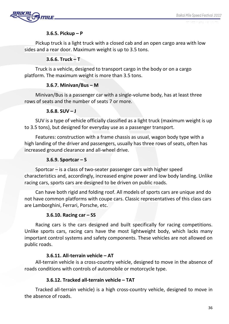

## **3.6.5. Pickup – P**

Pickup truck is a light truck with a closed cab and an open cargo area with low sides and a rear door. Maximum weight is up to 3.5 tons.

## **3.6.6. Truck – T**

Truck is a vehicle, designed to transport cargo in the body or on a cargo platform. The maximum weight is more than 3.5 tons.

## **3.6.7. Minivan/Bus – М**

Minivan/Bus is a passenger car with a single-volume body, has at least three rows of seats and the number of seats 7 or more.

## **3.6.8. SUV – J**

SUV is a type of vehicle officially classified as a light truck (maximum weight is up to 3.5 tons), but designed for everyday use as a passenger transport.

Features: construction with a frame chassis as usual, wagon body type with a high landing of the driver and passengers, usually has three rows of seats, often has increased ground clearance and all-wheel drive.

## **3.6.9. Sportcar – S**

Sportcar – is a class of two-seater passenger cars with higher speed characteristics and, accordingly, increased engine power and low body landing. Unlike racing cars, sports cars are designed to be driven on public roads.

Can have both rigid and folding roof. All models of sports cars are unique and do not have common platforms with coupe cars. Classic representatives of this class cars are Lamborghini, Ferrari, Porsche, etc.

# **3.6.10. Racing car – SS**

Racing cars is the cars designed and built specifically for racing competitions. Unlike sports cars, racing cars have the most lightweight body, which lacks many important control systems and safety components. These vehicles are not allowed on public roads.

## **3.6.11. All-terrain vehicle – AT**

All-terrain vehicle is a cross-country vehicle, designed to move in the absence of roads conditions with controls of automobile or motorcycle type.

# **3.6.12. Tracked all-terrain vehicle – TAT**

Tracked all-terrain vehicle) is a high cross-country vehicle, designed to move in the absence of roads.